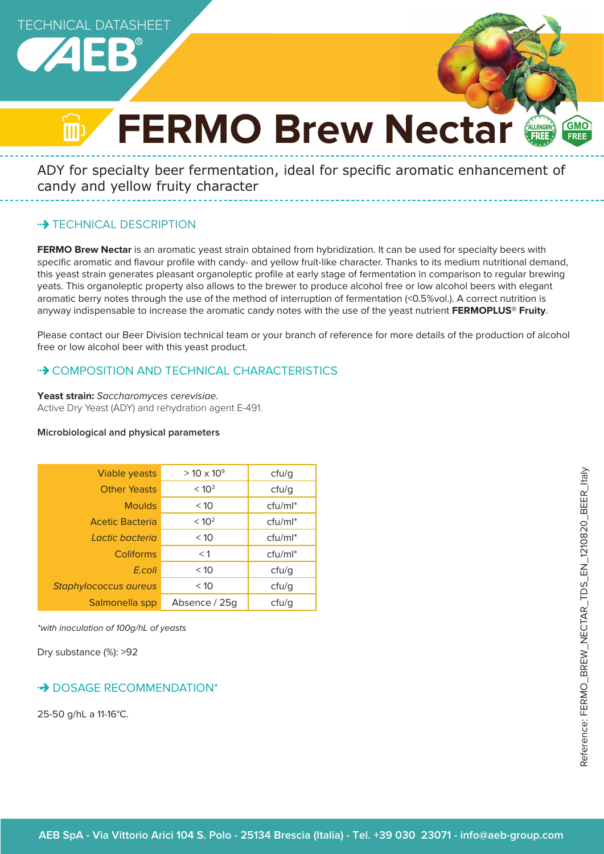TECHNICAL DATASHEET



# **FERMO Brew Nectar**

ADY for specialty beer fermentation, ideal for specific aromatic enhancement of candy and yellow fruity character

# **\*\*> TECHNICAL DESCRIPTION**

**FERMO Brew Nectar** is an aromatic yeast strain obtained from hybridization. It can be used for specialty beers with specific aromatic and flavour profile with candy- and yellow fruit-like character. Thanks to its medium nutritional demand, this yeast strain generates pleasant organoleptic profile at early stage of fermentation in comparison to regular brewing yeats. This organoleptic property also allows to the brewer to produce alcohol free or low alcohol beers with elegant aromatic berry notes through the use of the method of interruption of fermentation (<0.5%vol.). A correct nutrition is anyway indispensable to increase the aromatic candy notes with the use of the yeast nutrient **FERMOPLUS® Fruity**.

Please contact our Beer Division technical team or your branch of reference for more details of the production of alcohol free or low alcohol beer with this yeast product.

# •• COMPOSITION AND TECHNICAL CHARACTERISTICS

**Yeast strain:** Saccharomyces cerevisiae. Active Dry Yeast (ADY) and rehydration agent E-491.

#### **Microbiological and physical parameters**

| Viable yeasts                | $> 10 \times 10^{9}$ | cfu/g      |
|------------------------------|----------------------|------------|
| <b>Other Yeasts</b>          | < 10 <sup>3</sup>    | ctu/g      |
| <b>Moulds</b>                | < 10                 | $ctu/ml^*$ |
| <b>Acetic Bacteria</b>       | < 10 <sup>2</sup>    | $ctu/ml^*$ |
| Lactic bacteria              | < 10                 | $ctu/ml^*$ |
| <b>Coliforms</b>             | $<$ 1                | $ctu/ml^*$ |
| E.coli                       | < 10                 | ctu/g      |
| <b>Staphylococcus aureus</b> | < 10                 | cfu/g      |
| Salmonella spp               | Absence / 25g        | ctu/g      |

\*with inoculation of 100g/hL of yeasts

Dry substance (%): >92

#### **DOSAGE RECOMMENDATION\***

25-50 g/hL a 11-16°C.